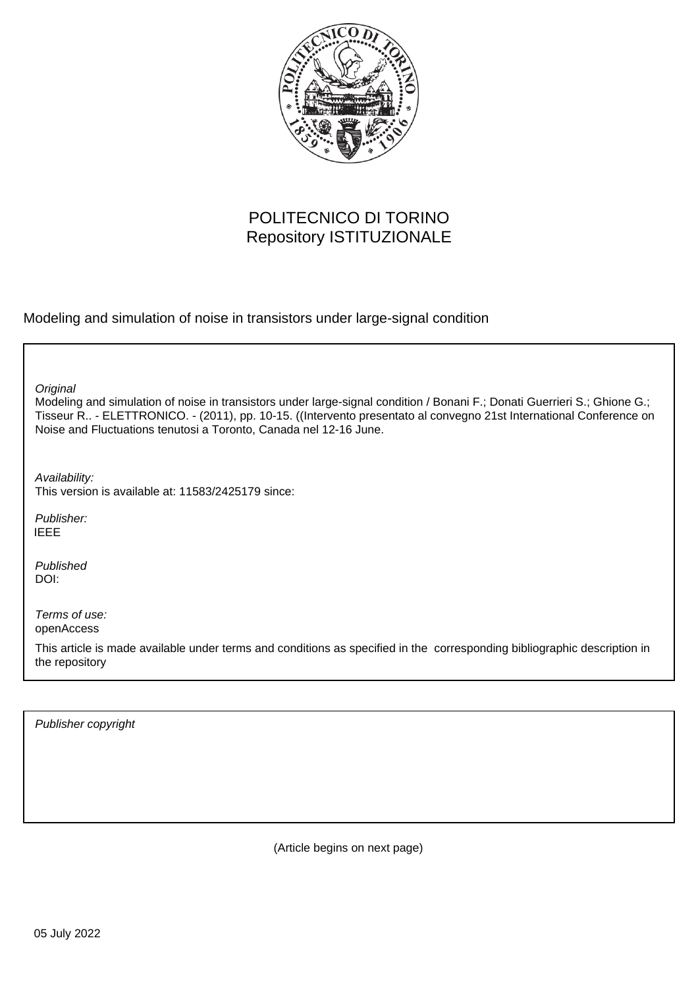

# POLITECNICO DI TORINO Repository ISTITUZIONALE

Modeling and simulation of noise in transistors under large-signal condition

**Original** 

Modeling and simulation of noise in transistors under large-signal condition / Bonani F.; Donati Guerrieri S.; Ghione G.; Tisseur R.. - ELETTRONICO. - (2011), pp. 10-15. ((Intervento presentato al convegno 21st International Conference on Noise and Fluctuations tenutosi a Toronto, Canada nel 12-16 June.

Availability: This version is available at: 11583/2425179 since:

Publisher: IEEE

Published DOI:

Terms of use: openAccess

This article is made available under terms and conditions as specified in the corresponding bibliographic description in the repository

Publisher copyright

(Article begins on next page)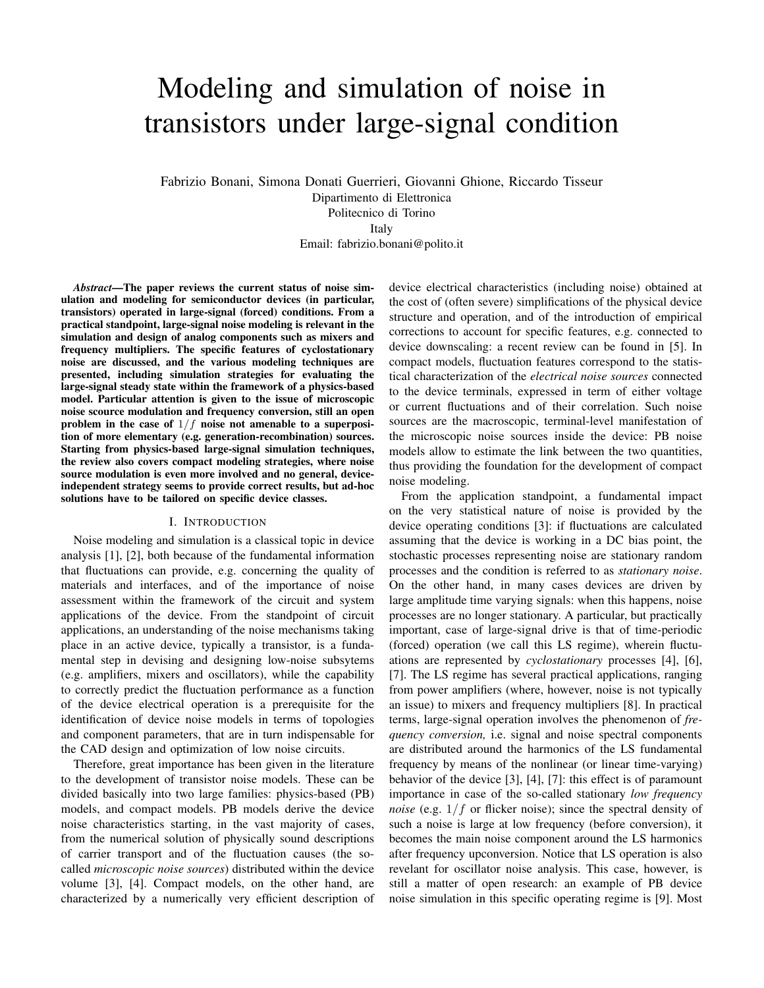# Modeling and simulation of noise in transistors under large-signal condition

Fabrizio Bonani, Simona Donati Guerrieri, Giovanni Ghione, Riccardo Tisseur Dipartimento di Elettronica Politecnico di Torino Italy

Email: fabrizio.bonani@polito.it

*Abstract***—The paper reviews the current status of noise simulation and modeling for semiconductor devices (in particular, transistors) operated in large-signal (forced) conditions. From a practical standpoint, large-signal noise modeling is relevant in the simulation and design of analog components such as mixers and frequency multipliers. The specific features of cyclostationary noise are discussed, and the various modeling techniques are presented, including simulation strategies for evaluating the large-signal steady state within the framework of a physics-based model. Particular attention is given to the issue of microscopic noise scource modulation and frequency conversion, still an open** problem in the case of  $1/f$  noise not amenable to a superposi**tion of more elementary (e.g. generation-recombination) sources. Starting from physics-based large-signal simulation techniques, the review also covers compact modeling strategies, where noise source modulation is even more involved and no general, deviceindependent strategy seems to provide correct results, but ad-hoc solutions have to be tailored on specific device classes.**

#### I. INTRODUCTION

Noise modeling and simulation is a classical topic in device analysis [1], [2], both because of the fundamental information that fluctuations can provide, e.g. concerning the quality of materials and interfaces, and of the importance of noise assessment within the framework of the circuit and system applications of the device. From the standpoint of circuit applications, an understanding of the noise mechanisms taking place in an active device, typically a transistor, is a fundamental step in devising and designing low-noise subsytems (e.g. amplifiers, mixers and oscillators), while the capability to correctly predict the fluctuation performance as a function of the device electrical operation is a prerequisite for the identification of device noise models in terms of topologies and component parameters, that are in turn indispensable for the CAD design and optimization of low noise circuits.

Therefore, great importance has been given in the literature to the development of transistor noise models. These can be divided basically into two large families: physics-based (PB) models, and compact models. PB models derive the device noise characteristics starting, in the vast majority of cases, from the numerical solution of physically sound descriptions of carrier transport and of the fluctuation causes (the socalled *microscopic noise sources*) distributed within the device volume [3], [4]. Compact models, on the other hand, are characterized by a numerically very efficient description of device electrical characteristics (including noise) obtained at the cost of (often severe) simplifications of the physical device structure and operation, and of the introduction of empirical corrections to account for specific features, e.g. connected to device downscaling: a recent review can be found in [5]. In compact models, fluctuation features correspond to the statistical characterization of the *electrical noise sources* connected to the device terminals, expressed in term of either voltage or current fluctuations and of their correlation. Such noise sources are the macroscopic, terminal-level manifestation of the microscopic noise sources inside the device: PB noise models allow to estimate the link between the two quantities, thus providing the foundation for the development of compact noise modeling.

From the application standpoint, a fundamental impact on the very statistical nature of noise is provided by the device operating conditions [3]: if fluctuations are calculated assuming that the device is working in a DC bias point, the stochastic processes representing noise are stationary random processes and the condition is referred to as *stationary noise*. On the other hand, in many cases devices are driven by large amplitude time varying signals: when this happens, noise processes are no longer stationary. A particular, but practically important, case of large-signal drive is that of time-periodic (forced) operation (we call this LS regime), wherein fluctuations are represented by *cyclostationary* processes [4], [6], [7]. The LS regime has several practical applications, ranging from power amplifiers (where, however, noise is not typically an issue) to mixers and frequency multipliers [8]. In practical terms, large-signal operation involves the phenomenon of *frequency conversion,* i.e. signal and noise spectral components are distributed around the harmonics of the LS fundamental frequency by means of the nonlinear (or linear time-varying) behavior of the device [3], [4], [7]: this effect is of paramount importance in case of the so-called stationary *low frequency noise* (e.g.  $1/f$  or flicker noise); since the spectral density of such a noise is large at low frequency (before conversion), it becomes the main noise component around the LS harmonics after frequency upconversion. Notice that LS operation is also revelant for oscillator noise analysis. This case, however, is still a matter of open research: an example of PB device noise simulation in this specific operating regime is [9]. Most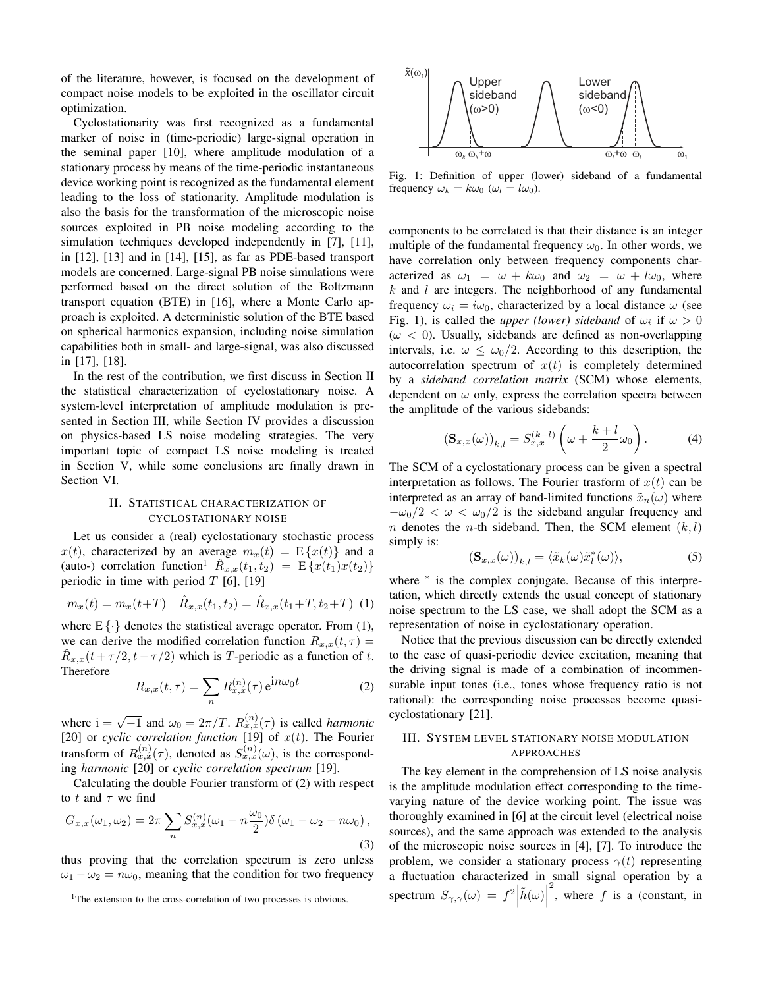of the literature, however, is focused on the development of compact noise models to be exploited in the oscillator circuit optimization.

Cyclostationarity was first recognized as a fundamental marker of noise in (time-periodic) large-signal operation in the seminal paper [10], where amplitude modulation of a stationary process by means of the time-periodic instantaneous device working point is recognized as the fundamental element leading to the loss of stationarity. Amplitude modulation is also the basis for the transformation of the microscopic noise sources exploited in PB noise modeling according to the simulation techniques developed independently in [7], [11], in [12], [13] and in [14], [15], as far as PDE-based transport models are concerned. Large-signal PB noise simulations were performed based on the direct solution of the Boltzmann transport equation (BTE) in [16], where a Monte Carlo approach is exploited. A deterministic solution of the BTE based on spherical harmonics expansion, including noise simulation capabilities both in small- and large-signal, was also discussed in [17], [18].

In the rest of the contribution, we first discuss in Section II the statistical characterization of cyclostationary noise. A system-level interpretation of amplitude modulation is presented in Section III, while Section IV provides a discussion on physics-based LS noise modeling strategies. The very important topic of compact LS noise modeling is treated in Section V, while some conclusions are finally drawn in Section VI.

## II. STATISTICAL CHARACTERIZATION OF CYCLOSTATIONARY NOISE

Let us consider a (real) cyclostationary stochastic process  $x(t)$ , characterized by an average  $m_x(t) = E \{x(t)\}\$ and a (auto-) correlation function<sup>1</sup>  $R_{x,x}(t_1, t_2) = \mathbb{E}\left\{x(t_1)x(t_2)\right\}$ periodic in time with period  $T$  [6], [19]

$$
m_x(t) = m_x(t+T) \quad \hat{R}_{x,x}(t_1, t_2) = \hat{R}_{x,x}(t_1+T, t_2+T) \tag{1}
$$

where  $E\{\cdot\}$  denotes the statistical average operator. From (1), we can derive the modified correlation function  $R_{x,x}(t, \tau) =$  $R_{x,x}(t + \tau/2, t - \tau/2)$  which is T-periodic as a function of t. Therefore

$$
R_{x,x}(t,\tau) = \sum_{n} R_{x,x}^{(n)}(\tau) e^{\mathbf{i}n\omega_0 t}
$$
 (2)

where  $i = \sqrt{-1}$  and  $\omega_0 = 2\pi/T$ .  $R_{x,x}^{(n)}(\tau)$  is called *harmonic* [20] or *cyclic correlation function* [19] of  $x(t)$ . The Fourier transform of  $R_{x,x}^{(n)}(\tau)$ , denoted as  $S_{x,x}^{(n)}(\omega)$ , is the corresponding *harmonic* [20] or *cyclic correlation spectrum* [19].

Calculating the double Fourier transform of (2) with respect to  $t$  and  $\tau$  we find

$$
G_{x,x}(\omega_1, \omega_2) = 2\pi \sum_n S_{x,x}^{(n)}(\omega_1 - n\frac{\omega_0}{2}) \delta(\omega_1 - \omega_2 - n\omega_0),
$$
\n(3)

thus proving that the correlation spectrum is zero unless  $\omega_1 - \omega_2 = n\omega_0$ , meaning that the condition for two frequency



Fig. 1: Definition of upper (lower) sideband of a fundamental frequency  $\omega_k = k\omega_0$  ( $\omega_l = l\omega_0$ ).

components to be correlated is that their distance is an integer multiple of the fundamental frequency  $\omega_0$ . In other words, we have correlation only between frequency components characterized as  $\omega_1 = \omega + k\omega_0$  and  $\omega_2 = \omega + l\omega_0$ , where  $k$  and  $l$  are integers. The neighborhood of any fundamental frequency  $\omega_i = i\omega_0$ , characterized by a local distance  $\omega$  (see Fig. 1), is called the *upper (lower) sideband* of  $\omega_i$  if  $\omega > 0$  $(\omega < 0)$ . Usually, sidebands are defined as non-overlapping intervals, i.e.  $\omega \le \omega_0/2$ . According to this description, the autocorrelation spectrum of  $x(t)$  is completely determined by a *sideband correlation matrix* (SCM) whose elements, dependent on  $\omega$  only, express the correlation spectra between the amplitude of the various sidebands:

$$
\left(\mathbf{S}_{x,x}(\omega)\right)_{k,l} = S_{x,x}^{(k-l)}\left(\omega + \frac{k+l}{2}\omega_0\right). \tag{4}
$$

The SCM of a cyclostationary process can be given a spectral interpretation as follows. The Fourier trasform of  $x(t)$  can be interpreted as an array of band-limited functions  $\tilde{x}_n(\omega)$  where  $-\omega_0/2 < \omega < \omega_0/2$  is the sideband angular frequency and *n* denotes the *n*-th sideband. Then, the SCM element  $(k, l)$ simply is:

$$
(\mathbf{S}_{x,x}(\omega))_{k,l} = \langle \tilde{x}_k(\omega)\tilde{x}_l^*(\omega) \rangle, \tag{5}
$$

where <sup>\*</sup> is the complex conjugate. Because of this interpretation, which directly extends the usual concept of stationary noise spectrum to the LS case, we shall adopt the SCM as a representation of noise in cyclostationary operation.

Notice that the previous discussion can be directly extended to the case of quasi-periodic device excitation, meaning that the driving signal is made of a combination of incommensurable input tones (i.e., tones whose frequency ratio is not rational): the corresponding noise processes become quasicyclostationary [21].

## III. SYSTEM LEVEL STATIONARY NOISE MODULATION APPROACHES

The key element in the comprehension of LS noise analysis is the amplitude modulation effect corresponding to the timevarying nature of the device working point. The issue was thoroughly examined in [6] at the circuit level (electrical noise sources), and the same approach was extended to the analysis of the microscopic noise sources in [4], [7]. To introduce the problem, we consider a stationary process  $\gamma(t)$  representing a fluctuation characterized in small signal operation by a spectrum  $S_{\gamma,\gamma}(\omega) = f^2 \left| \tilde{h}(\omega) \right|$ <sup>2</sup>, where  $f$  is a (constant, in

<sup>&</sup>lt;sup>1</sup>The extension to the cross-correlation of two processes is obvious.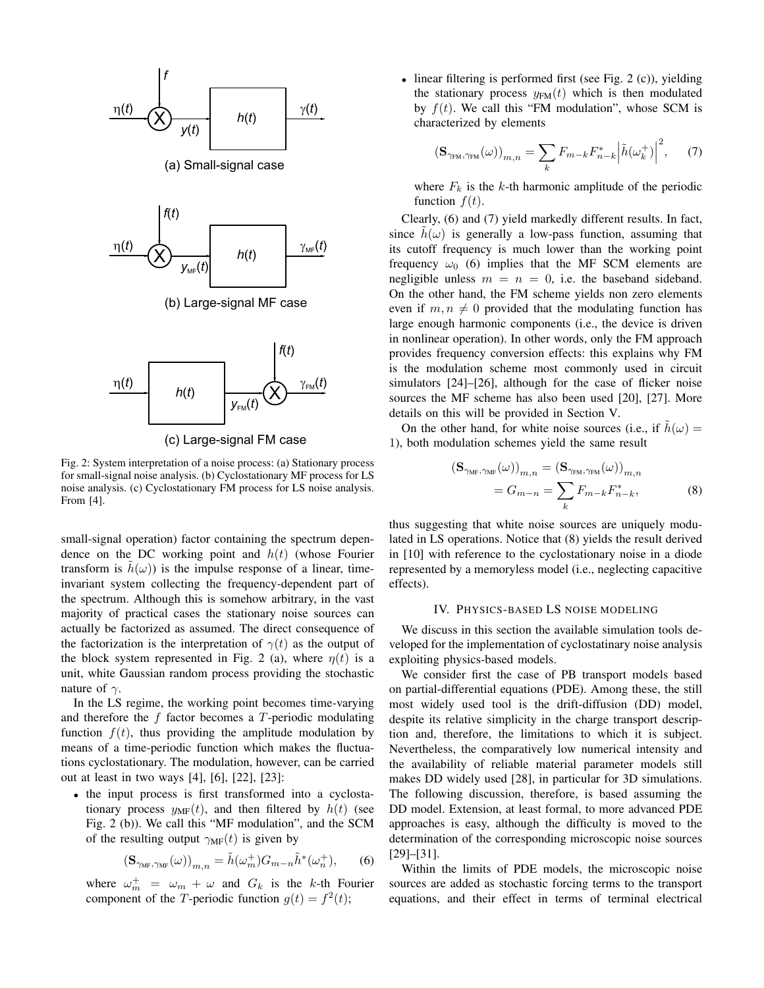

(c) Large-signal FM case

Fig. 2: System interpretation of a noise process: (a) Stationary process for small-signal noise analysis. (b) Cyclostationary MF process for LS noise analysis. (c) Cyclostationary FM process for LS noise analysis. From [4].

small-signal operation) factor containing the spectrum dependence on the DC working point and  $h(t)$  (whose Fourier transform is  $h(\omega)$ ) is the impulse response of a linear, timeinvariant system collecting the frequency-dependent part of the spectrum. Although this is somehow arbitrary, in the vast majority of practical cases the stationary noise sources can actually be factorized as assumed. The direct consequence of the factorization is the interpretation of  $\gamma(t)$  as the output of the block system represented in Fig. 2 (a), where  $\eta(t)$  is a unit, white Gaussian random process providing the stochastic nature of  $\gamma$ .

In the LS regime, the working point becomes time-varying and therefore the  $f$  factor becomes a  $T$ -periodic modulating function  $f(t)$ , thus providing the amplitude modulation by means of a time-periodic function which makes the fluctuations cyclostationary. The modulation, however, can be carried out at least in two ways [4], [6], [22], [23]:

<sup>∙</sup> the input process is first transformed into a cyclostationary process  $y_{MF}(t)$ , and then filtered by  $h(t)$  (see Fig. 2 (b)). We call this "MF modulation", and the SCM of the resulting output  $\gamma_{MF}(t)$  is given by

$$
\left(\mathbf{S}_{\gamma_{\mathrm{MF}},\gamma_{\mathrm{MF}}}(\omega)\right)_{m,n}=\tilde{h}(\omega_{m}^{+})G_{m-n}\tilde{h}^{*}(\omega_{n}^{+}),\qquad \ \ (6)
$$

where  $\omega_m^+ = \omega_m + \omega$  and  $G_k$  is the k-th Fourier component of the *T*-periodic function  $g(t) = f^2(t);$ 

<sup>∙</sup> linear filtering is performed first (see Fig. 2 (c)), yielding the stationary process  $y_{FM}(t)$  which is then modulated by  $f(t)$ . We call this "FM modulation", whose SCM is characterized by elements

$$
\left(\mathbf{S}_{\gamma_{\text{FM}},\gamma_{\text{FM}}}(\omega)\right)_{m,n} = \sum_{k} F_{m-k} F_{n-k}^* \left| \tilde{h}(\omega_k^+) \right|^2, \tag{7}
$$

where  $F_k$  is the k-th harmonic amplitude of the periodic function  $f(t)$ .

Clearly, (6) and (7) yield markedly different results. In fact, since  $h(\omega)$  is generally a low-pass function, assuming that its cutoff frequency is much lower than the working point frequency  $\omega_0$  (6) implies that the MF SCM elements are negligible unless  $m = n = 0$ , i.e. the baseband sideband. On the other hand, the FM scheme yields non zero elements even if  $m, n \neq 0$  provided that the modulating function has large enough harmonic components (i.e., the device is driven in nonlinear operation). In other words, only the FM approach provides frequency conversion effects: this explains why FM is the modulation scheme most commonly used in circuit simulators [24]–[26], although for the case of flicker noise sources the MF scheme has also been used [20], [27]. More details on this will be provided in Section V.

On the other hand, for white noise sources (i.e., if  $h(\omega) =$ 1), both modulation schemes yield the same result

$$
\begin{aligned} \left(\mathbf{S}_{\gamma_{\mathrm{MF}}, \gamma_{\mathrm{MF}}}(\omega)\right)_{m,n} &= \left(\mathbf{S}_{\gamma_{\mathrm{FM}}, \gamma_{\mathrm{FM}}}(\omega)\right)_{m,n} \\ &= G_{m-n} = \sum_{k} F_{m-k} F_{n-k}^*, \end{aligned} \tag{8}
$$

thus suggesting that white noise sources are uniquely modulated in LS operations. Notice that (8) yields the result derived in [10] with reference to the cyclostationary noise in a diode represented by a memoryless model (i.e., neglecting capacitive effects).

#### IV. PHYSICS-BASED LS NOISE MODELING

We discuss in this section the available simulation tools developed for the implementation of cyclostatinary noise analysis exploiting physics-based models.

We consider first the case of PB transport models based on partial-differential equations (PDE). Among these, the still most widely used tool is the drift-diffusion (DD) model, despite its relative simplicity in the charge transport description and, therefore, the limitations to which it is subject. Nevertheless, the comparatively low numerical intensity and the availability of reliable material parameter models still makes DD widely used [28], in particular for 3D simulations. The following discussion, therefore, is based assuming the DD model. Extension, at least formal, to more advanced PDE approaches is easy, although the difficulty is moved to the determination of the corresponding microscopic noise sources [29]–[31].

Within the limits of PDE models, the microscopic noise sources are added as stochastic forcing terms to the transport equations, and their effect in terms of terminal electrical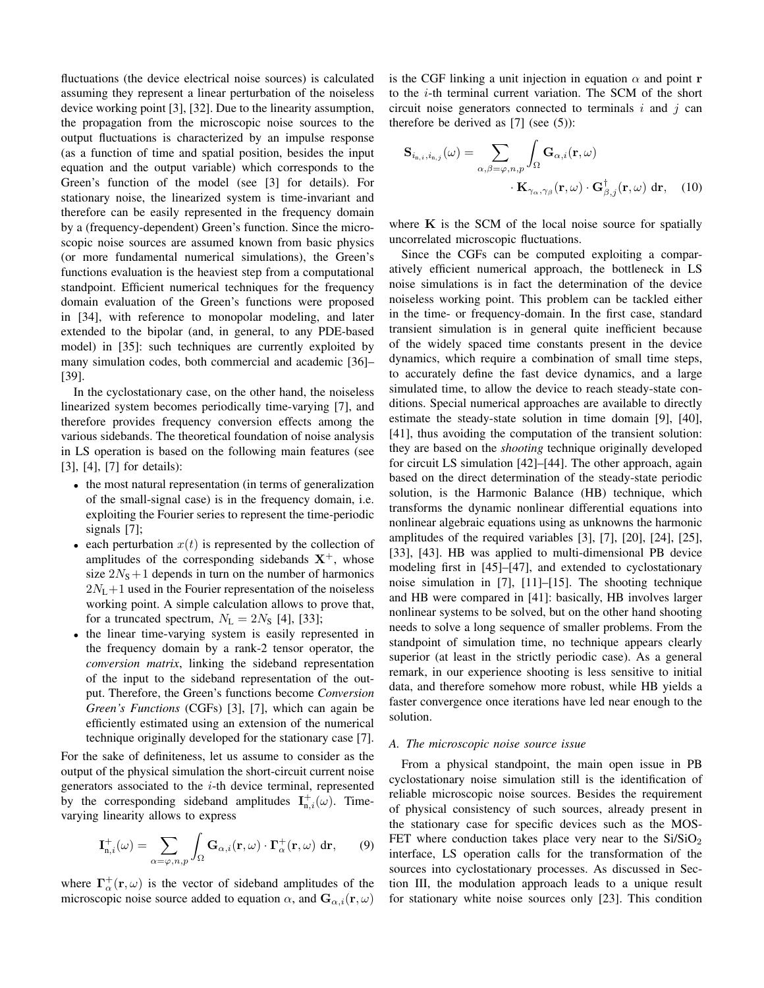fluctuations (the device electrical noise sources) is calculated assuming they represent a linear perturbation of the noiseless device working point [3], [32]. Due to the linearity assumption, the propagation from the microscopic noise sources to the output fluctuations is characterized by an impulse response (as a function of time and spatial position, besides the input equation and the output variable) which corresponds to the Green's function of the model (see [3] for details). For stationary noise, the linearized system is time-invariant and therefore can be easily represented in the frequency domain by a (frequency-dependent) Green's function. Since the microscopic noise sources are assumed known from basic physics (or more fundamental numerical simulations), the Green's functions evaluation is the heaviest step from a computational standpoint. Efficient numerical techniques for the frequency domain evaluation of the Green's functions were proposed in [34], with reference to monopolar modeling, and later extended to the bipolar (and, in general, to any PDE-based model) in [35]: such techniques are currently exploited by many simulation codes, both commercial and academic [36]– [39].

In the cyclostationary case, on the other hand, the noiseless linearized system becomes periodically time-varying [7], and therefore provides frequency conversion effects among the various sidebands. The theoretical foundation of noise analysis in LS operation is based on the following main features (see [3], [4], [7] for details):

- <sup>∙</sup> the most natural representation (in terms of generalization of the small-signal case) is in the frequency domain, i.e. exploiting the Fourier series to represent the time-periodic signals [7];
- each perturbation  $x(t)$  is represented by the collection of amplitudes of the corresponding sidebands  $X^+$ , whose size  $2N<sub>S</sub>+1$  depends in turn on the number of harmonics  $2N_L+1$  used in the Fourier representation of the noiseless working point. A simple calculation allows to prove that, for a truncated spectrum,  $N_L = 2N_S$  [4], [33];
- <sup>∙</sup> the linear time-varying system is easily represented in the frequency domain by a rank-2 tensor operator, the *conversion matrix*, linking the sideband representation of the input to the sideband representation of the output. Therefore, the Green's functions become *Conversion Green's Functions* (CGFs) [3], [7], which can again be efficiently estimated using an extension of the numerical technique originally developed for the stationary case [7].

For the sake of definiteness, let us assume to consider as the output of the physical simulation the short-circuit current noise generators associated to the  $i$ -th device terminal, represented by the corresponding sideband amplitudes  $I_{n,i}^{+}(\omega)$ . Timevarying linearity allows to express

$$
\mathbf{I}_{n,i}^{+}(\omega) = \sum_{\alpha=\varphi,n,p} \int_{\Omega} \mathbf{G}_{\alpha,i}(\mathbf{r},\omega) \cdot \mathbf{\Gamma}_{\alpha}^{+}(\mathbf{r},\omega) d\mathbf{r},\qquad(9)
$$

where  $\Gamma^{\dagger}_{\alpha}(\mathbf{r}, \omega)$  is the vector of sideband amplitudes of the microscopic noise source added to equation  $\alpha$ , and  $\mathbf{G}_{\alpha,i}(\mathbf{r}, \omega)$  is the CGF linking a unit injection in equation  $\alpha$  and point **r** to the  $i$ -th terminal current variation. The SCM of the short circuit noise generators connected to terminals  $i$  and  $j$  can therefore be derived as  $[7]$  (see  $(5)$ ):

$$
\mathbf{S}_{i_{\mathrm{n},i},i_{\mathrm{n},j}}(\omega) = \sum_{\alpha,\beta=\varphi,n,p} \int_{\Omega} \mathbf{G}_{\alpha,i}(\mathbf{r},\omega) \n\cdot \mathbf{K}_{\gamma_{\alpha},\gamma_{\beta}}(\mathbf{r},\omega) \cdot \mathbf{G}^{\dagger}_{\beta,j}(\mathbf{r},\omega) \, \mathrm{d}\mathbf{r}, \quad (10)
$$

where **K** is the SCM of the local noise source for spatially uncorrelated microscopic fluctuations.

Since the CGFs can be computed exploiting a comparatively efficient numerical approach, the bottleneck in LS noise simulations is in fact the determination of the device noiseless working point. This problem can be tackled either in the time- or frequency-domain. In the first case, standard transient simulation is in general quite inefficient because of the widely spaced time constants present in the device dynamics, which require a combination of small time steps, to accurately define the fast device dynamics, and a large simulated time, to allow the device to reach steady-state conditions. Special numerical approaches are available to directly estimate the steady-state solution in time domain [9], [40], [41], thus avoiding the computation of the transient solution: they are based on the *shooting* technique originally developed for circuit LS simulation [42]–[44]. The other approach, again based on the direct determination of the steady-state periodic solution, is the Harmonic Balance (HB) technique, which transforms the dynamic nonlinear differential equations into nonlinear algebraic equations using as unknowns the harmonic amplitudes of the required variables [3], [7], [20], [24], [25], [33], [43]. HB was applied to multi-dimensional PB device modeling first in [45]–[47], and extended to cyclostationary noise simulation in [7], [11]–[15]. The shooting technique and HB were compared in [41]: basically, HB involves larger nonlinear systems to be solved, but on the other hand shooting needs to solve a long sequence of smaller problems. From the standpoint of simulation time, no technique appears clearly superior (at least in the strictly periodic case). As a general remark, in our experience shooting is less sensitive to initial data, and therefore somehow more robust, while HB yields a faster convergence once iterations have led near enough to the solution.

#### *A. The microscopic noise source issue*

From a physical standpoint, the main open issue in PB cyclostationary noise simulation still is the identification of reliable microscopic noise sources. Besides the requirement of physical consistency of such sources, already present in the stationary case for specific devices such as the MOS-FET where conduction takes place very near to the  $Si/SiO<sub>2</sub>$ interface, LS operation calls for the transformation of the sources into cyclostationary processes. As discussed in Section III, the modulation approach leads to a unique result for stationary white noise sources only [23]. This condition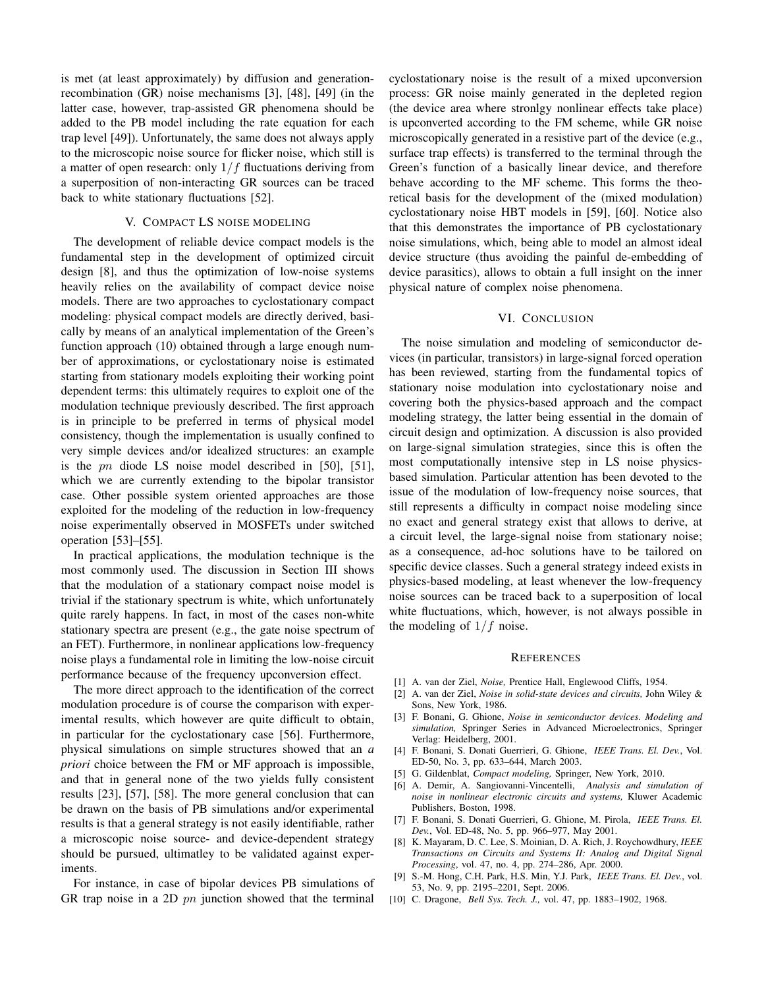is met (at least approximately) by diffusion and generationrecombination (GR) noise mechanisms [3], [48], [49] (in the latter case, however, trap-assisted GR phenomena should be added to the PB model including the rate equation for each trap level [49]). Unfortunately, the same does not always apply to the microscopic noise source for flicker noise, which still is a matter of open research: only  $1/f$  fluctuations deriving from a superposition of non-interacting GR sources can be traced back to white stationary fluctuations [52].

#### V. COMPACT LS NOISE MODELING

The development of reliable device compact models is the fundamental step in the development of optimized circuit design [8], and thus the optimization of low-noise systems heavily relies on the availability of compact device noise models. There are two approaches to cyclostationary compact modeling: physical compact models are directly derived, basically by means of an analytical implementation of the Green's function approach (10) obtained through a large enough number of approximations, or cyclostationary noise is estimated starting from stationary models exploiting their working point dependent terms: this ultimately requires to exploit one of the modulation technique previously described. The first approach is in principle to be preferred in terms of physical model consistency, though the implementation is usually confined to very simple devices and/or idealized structures: an example is the  $pn$  diode LS noise model described in [50], [51], which we are currently extending to the bipolar transistor case. Other possible system oriented approaches are those exploited for the modeling of the reduction in low-frequency noise experimentally observed in MOSFETs under switched operation [53]–[55].

In practical applications, the modulation technique is the most commonly used. The discussion in Section III shows that the modulation of a stationary compact noise model is trivial if the stationary spectrum is white, which unfortunately quite rarely happens. In fact, in most of the cases non-white stationary spectra are present (e.g., the gate noise spectrum of an FET). Furthermore, in nonlinear applications low-frequency noise plays a fundamental role in limiting the low-noise circuit performance because of the frequency upconversion effect.

The more direct approach to the identification of the correct modulation procedure is of course the comparison with experimental results, which however are quite difficult to obtain, in particular for the cyclostationary case [56]. Furthermore, physical simulations on simple structures showed that an *a priori* choice between the FM or MF approach is impossible, and that in general none of the two yields fully consistent results [23], [57], [58]. The more general conclusion that can be drawn on the basis of PB simulations and/or experimental results is that a general strategy is not easily identifiable, rather a microscopic noise source- and device-dependent strategy should be pursued, ultimatley to be validated against experiments.

For instance, in case of bipolar devices PB simulations of GR trap noise in a 2D  $pn$  junction showed that the terminal cyclostationary noise is the result of a mixed upconversion process: GR noise mainly generated in the depleted region (the device area where stronlgy nonlinear effects take place) is upconverted according to the FM scheme, while GR noise microscopically generated in a resistive part of the device (e.g., surface trap effects) is transferred to the terminal through the Green's function of a basically linear device, and therefore behave according to the MF scheme. This forms the theoretical basis for the development of the (mixed modulation) cyclostationary noise HBT models in [59], [60]. Notice also that this demonstrates the importance of PB cyclostationary noise simulations, which, being able to model an almost ideal device structure (thus avoiding the painful de-embedding of device parasitics), allows to obtain a full insight on the inner physical nature of complex noise phenomena.

#### VI. CONCLUSION

The noise simulation and modeling of semiconductor devices (in particular, transistors) in large-signal forced operation has been reviewed, starting from the fundamental topics of stationary noise modulation into cyclostationary noise and covering both the physics-based approach and the compact modeling strategy, the latter being essential in the domain of circuit design and optimization. A discussion is also provided on large-signal simulation strategies, since this is often the most computationally intensive step in LS noise physicsbased simulation. Particular attention has been devoted to the issue of the modulation of low-frequency noise sources, that still represents a difficulty in compact noise modeling since no exact and general strategy exist that allows to derive, at a circuit level, the large-signal noise from stationary noise; as a consequence, ad-hoc solutions have to be tailored on specific device classes. Such a general strategy indeed exists in physics-based modeling, at least whenever the low-frequency noise sources can be traced back to a superposition of local white fluctuations, which, however, is not always possible in the modeling of  $1/f$  noise.

#### **REFERENCES**

- [1] A. van der Ziel, *Noise,* Prentice Hall, Englewood Cliffs, 1954.
- [2] A. van der Ziel, *Noise in solid-state devices and circuits,* John Wiley & Sons, New York, 1986.
- [3] F. Bonani, G. Ghione, *Noise in semiconductor devices. Modeling and simulation,* Springer Series in Advanced Microelectronics, Springer Verlag: Heidelberg, 2001.
- [4] F. Bonani, S. Donati Guerrieri, G. Ghione, *IEEE Trans. El. Dev.*, Vol. ED-50, No. 3, pp. 633–644, March 2003.
- [5] G. Gildenblat, *Compact modeling,* Springer, New York, 2010.
- [6] A. Demir, A. Sangiovanni-Vincentelli, *Analysis and simulation of noise in nonlinear electronic circuits and systems,* Kluwer Academic Publishers, Boston, 1998.
- [7] F. Bonani, S. Donati Guerrieri, G. Ghione, M. Pirola, *IEEE Trans. El. Dev.*, Vol. ED-48, No. 5, pp. 966–977, May 2001.
- [8] K. Mayaram, D. C. Lee, S. Moinian, D. A. Rich, J. Roychowdhury, *IEEE Transactions on Circuits and Systems II: Analog and Digital Signal Processing*, vol. 47, no. 4, pp. 274–286, Apr. 2000.
- [9] S.-M. Hong, C.H. Park, H.S. Min, Y.J. Park, *IEEE Trans. El. Dev.*, vol. 53, No. 9, pp. 2195–2201, Sept. 2006.
- [10] C. Dragone, *Bell Sys. Tech. J.,* vol. 47, pp. 1883–1902, 1968.